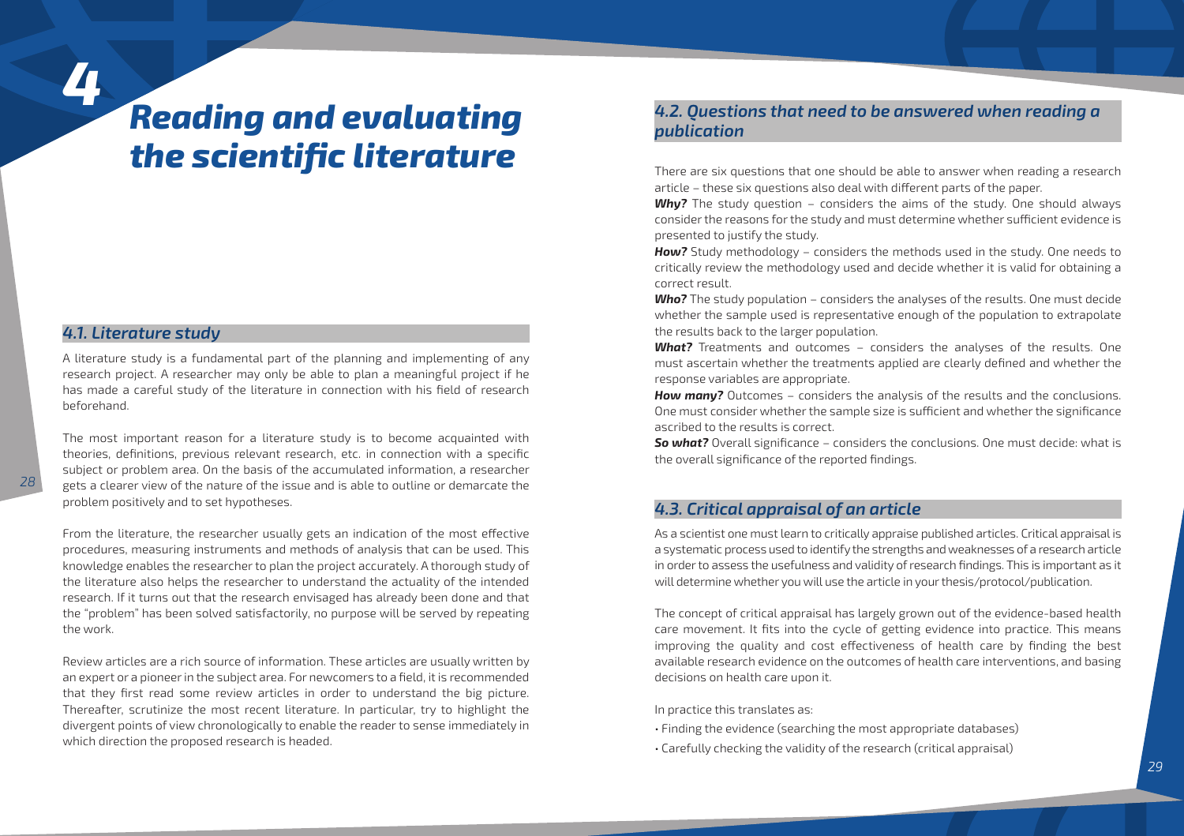# *Reading and evaluating the scientific literature*

#### *4.1. Literature study*

A literature study is a fundamental part of the planning and implementing of any research project. A researcher may only be able to plan a meaningful project if he has made a careful study of the literature in connection with his field of research beforehand.

The most important reason for a literature study is to become acquainted with theories, definitions, previous relevant research, etc. in connection with a specific subject or problem area. On the basis of the accumulated information, a researcher gets a clearer view of the nature of the issue and is able to outline or demarcate the problem positively and to set hypotheses.

From the literature, the researcher usually gets an indication of the most effective procedures, measuring instruments and methods of analysis that can be used. This knowledge enables the researcher to plan the project accurately. A thorough study of the literature also helps the researcher to understand the actuality of the intended research. If it turns out that the research envisaged has already been done and that the "problem" has been solved satisfactorily, no purpose will be served by repeating the work.

Review articles are a rich source of information. These articles are usually written by an expert or a pioneer in the subject area. For newcomers to a field, it is recommended that they first read some review articles in order to understand the big picture. Thereafter, scrutinize the most recent literature. In particular, try to highlight the divergent points of view chronologically to enable the reader to sense immediately in which direction the proposed research is headed.

### *4 4.2. Questions that need to be answered when reading a publication*

There are six questions that one should be able to answer when reading a research article – these six questions also deal with different parts of the paper.

*Why?* The study question – considers the aims of the study. One should always consider the reasons for the study and must determine whether sufficient evidence is presented to justify the study.

*How?* Study methodology – considers the methods used in the study. One needs to critically review the methodology used and decide whether it is valid for obtaining a correct result.

*Who?* The study population – considers the analyses of the results. One must decide whether the sample used is representative enough of the population to extrapolate the results back to the larger population.

*What?* Treatments and outcomes – considers the analyses of the results. One must ascertain whether the treatments applied are clearly defined and whether the response variables are appropriate.

*How many?* Outcomes – considers the analysis of the results and the conclusions. One must consider whether the sample size is sufficient and whether the significance ascribed to the results is correct.

*So what?* Overall significance – considers the conclusions. One must decide: what is the overall significance of the reported findings.

### *4.3. Critical appraisal of an article*

As a scientist one must learn to critically appraise published articles. Critical appraisal is a systematic process used to identify the strengths and weaknesses of a research article in order to assess the usefulness and validity of research findings. This is important as it will determine whether you will use the article in your thesis/protocol/publication.

The concept of critical appraisal has largely grown out of the evidence-based health care movement. It fits into the cycle of getting evidence into practice. This means improving the quality and cost effectiveness of health care by finding the best available research evidence on the outcomes of health care interventions, and basing decisions on health care upon it.

In practice this translates as:

- Finding the evidence (searching the most appropriate databases)
- Carefully checking the validity of the research (critical appraisal)